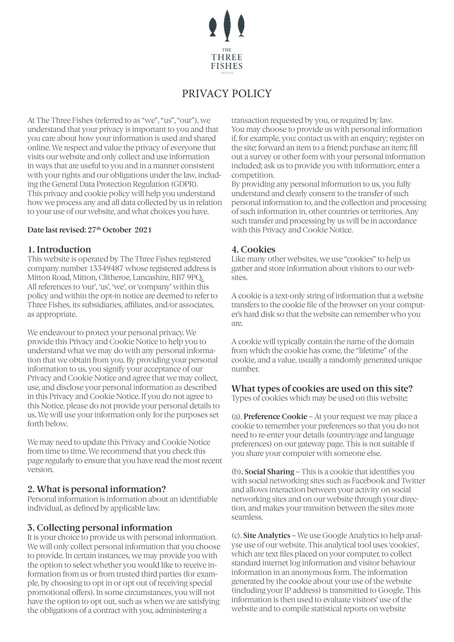

# PRIVACY POLICY

At The Three Fishes (referred to as "we", "us", "our"), we understand that your privacy is important to you and that you care about how your information is used and shared online. We respect and value the privacy of everyone that visits our website and only collect and use information in ways that are useful to you and in a manner consistent with your rights and our obligations under the law, including the General Data Protection Regulation (GDPR). This privacy and cookie policy will help you understand how we process any and all data collected by us in relation to your use of our website, and what choices you have.

#### Date last revised:  $27<sup>th</sup>$  October 2021

#### **1. Introduction**

This website is operated by The Three Fishes registered company number 13349487 whose registered address is Mitton Road, Mitton, Clitheroe, Lancashire, BB7 9PQ. All references to 'our', 'us', 'we', or 'company' within this policy and within the opt-in notice are deemed to refer to Three Fishes, its subsidiaries, affiliates, and/or associates, as appropriate.

We endeavour to protect your personal privacy. We provide this Privacy and Cookie Notice to help you to understand what we may do with any personal information that we obtain from you. By providing your personal information to us, you signify your acceptance of our Privacy and Cookie Notice and agree that we may collect, use, and disclose your personal information as described in this Privacy and Cookie Notice. If you do not agree to this Notice, please do not provide your personal details to us. We will use your information only for the purposes set forth below.

We may need to update this Privacy and Cookie Notice from time to time. We recommend that you check this page regularly to ensure that you have read the most recent version.

# **2. What is personal information?**

Personal information is information about an identifiable individual, as defined by applicable law.

# **3. Collecting personal information**

It is your choice to provide us with personal information. We will only collect personal information that you choose to provide. In certain instances, we may provide you with the option to select whether you would like to receive information from us or from trusted third parties (for example, by choosing to opt in or opt out of receiving special promotional offers). In some circumstances, you will not have the option to opt out, such as when we are satisfying the obligations of a contract with you, administering a

transaction requested by you, or required by law. You may choose to provide us with personal information if, for example, you: contact us with an enquiry; register on the site; forward an item to a friend; purchase an item; fill out a survey or other form with your personal information included; ask us to provide you with information; enter a competition.

By providing any personal information to us, you fully understand and clearly consent to the transfer of such personal information to, and the collection and processing of such information in, other countries or territories. Any such transfer and processing by us will be in accordance with this Privacy and Cookie Notice.

#### **4. Cookies**

Like many other websites, we use "cookies" to help us gather and store information about visitors to our websites.

A cookie is a text-only string of information that a website transfers to the cookie file of the browser on your computer's hard disk so that the website can remember who you are.

A cookie will typically contain the name of the domain from which the cookie has come, the "lifetime" of the cookie, and a value, usually a randomly generated unique number.

# **What types of cookies are used on this site?**

Types of cookies which may be used on this website;

(a). **Preference Cookie** – At your request we may place a cookie to remember your preferences so that you do not need to re-enter your details (country/age and language preferences) on our gateway page. This is not suitable if you share your computer with someone else.

(b)**. Social Sharing** – This is a cookie that identifies you with social networking sites such as Facebook and Twitter and allows interaction between your activity on social networking sites and on our website through your direction, and makes your transition between the sites more seamless.

(c). **Site Analytics** – We use Google Analytics to help analyse use of our website. This analytical tool uses 'cookies', which are text files placed on your computer, to collect standard internet log information and visitor behaviour information in an anonymous form. The information generated by the cookie about your use of the website (including your IP address) is transmitted to Google. This information is then used to evaluate visitors' use of the website and to compile statistical reports on website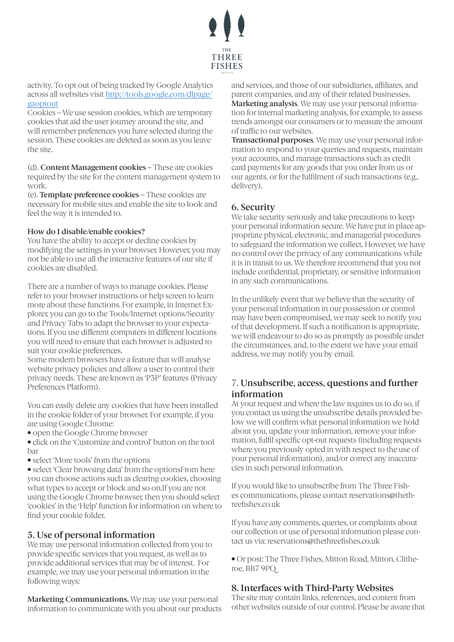

activity. To opt out of being tracked by Google Analytics across all websites visit http://tools.google.com/dlpage/ gaoptout

Cookies – We use session cookies, which are temporary cookies that aid the user journey around the site, and will remember preferences you have selected during the session. These cookies are deleted as soon as you leave the site.

(d). **Content Management cookies** – These are cookies required by the site for the content management system to work.

(e). **Template preference cookies** – These cookies are necessary for mobile sites and enable the site to look and feel the way it is intended to.

#### **How do I disable/enable cookies?**

You have the ability to accept or decline cookies by modifying the settings in your browser. However, you may not be able to use all the interactive features of our site if cookies are disabled.

There are a number of ways to manage cookies. Please refer to your browser instructions or help screen to learn more about these functions. For example, in Internet Explorer, you can go to the Tools/Internet options/Security and Privacy Tabs to adapt the browser to your expectations. If you use different computers in different locations you will need to ensure that each browser is adjusted to suit your cookie preferences.

Some modern browsers have a feature that will analyse website privacy policies and allow a user to control their privacy needs. These are known as 'P3P' features (Privacy Preferences Platform).

You can easily delete any cookies that have been installed in the cookie folder of your browser. For example, if you are using Google Chrome:

• open the Google Chrome browser

• click on the 'Customize and control' button on the tool bar

• select 'More tools' from the options

• select 'Clear browsing data' from the optionsFrom here you can choose actions such as clearing cookies, choosing what types to accept or block and so on.If you are not using the Google Chrome browser, then you should select 'cookies' in the 'Help' function for information on where to find your cookie folder.

# **5. Use of personal information**

We may use personal information collected from you to provide specific services that you request, as well as to provide additional services that may be of interest. For example, we may use your personal information in the following ways:

**Marketing Communications.** We may use your personal information to communicate with you about our products and services, and those of our subsidiaries, affiliates, and parent companies, and any of their related businesses. **Marketing analysis**. We may use your personal information for internal marketing analysis, for example, to assess trends amongst our consumers or to measure the amount of traffic to our websites.

**Transactional purposes**. We may use your personal information to respond to your queries and requests, maintain your accounts, and manage transactions such as credit card payments for any goods that you order from us or our agents, or for the fulfilment of such transactions (e.g., delivery).

#### **6. Security**

We take security seriously and take precautions to keep your personal information secure. We have put in place appropriate physical, electronic, and managerial procedures to safeguard the information we collect. However, we have no control over the privacy of any communications while it is in transit to us. We therefore recommend that you not include confidential, proprietary, or sensitive information in any such communications.

In the unlikely event that we believe that the security of your personal information in our possession or control may have been compromised, we may seek to notify you of that development. If such a notification is appropriate, we will endeavour to do so as promptly as possible under the circumstances, and, to the extent we have your email address, we may notify you by email.

# 7. **Unsubscribe, access, questions and further information**

At your request and where the law requires us to do so, if you contact us using the unsubscribe details provided below we will confirm what personal information we hold about you, update your information, remove your information, fulfil specific opt-out requests (including requests where you previously opted in with respect to the use of your personal information), and/or correct any inaccuracies in such personal information.

If you would like to unsubscribe from The Three Fishes communications, please contact reservations@thethreefishes.co.uk

If you have any comments, queries, or complaints about our collection or use of personal information please contact us via: reservations@thethreefishes.co.uk

• Or post: The Three Fishes, Mitton Road, Mitton, Clitheroe, BB7 9PQ

# **8. Interfaces with Third-Party Websites**

The site may contain links, references, and content from other websites outside of our control. Please be aware that